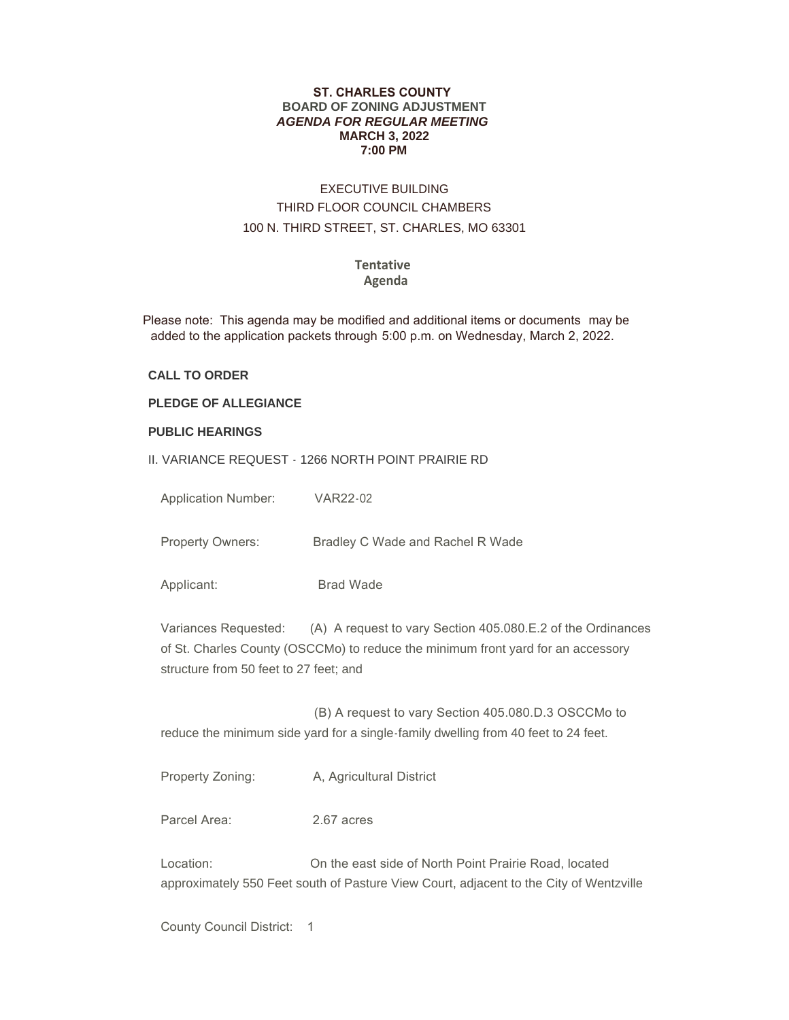#### **ST. CHARLES COUNTY BOARD OF ZONING ADJUSTMENT** *AGENDA FOR REGULAR MEETING* **MARCH 3, 2022 7:00 PM**

# EXECUTIVE BUILDING THIRD FLOOR COUNCIL CHAMBERS 100 N. THIRD STREET, ST. CHARLES, MO 63301

#### **Tentative Agenda**

 Please note: This agenda may be modified and additional items or documents may be added to the application packets through 5:00 p.m. on Wednesday, March 2, 2022.

### **CALL TO ORDER**

## **PLEDGE OF ALLEGIANCE**

#### **PUBLIC HEARINGS**

II. VARIANCE REQUEST - 1266 NORTH POINT PRAIRIE RD

| <b>Application Number:</b>                                                                                                                                                                                     | VAR22-02                                                                                                                                        |
|----------------------------------------------------------------------------------------------------------------------------------------------------------------------------------------------------------------|-------------------------------------------------------------------------------------------------------------------------------------------------|
| Property Owners:                                                                                                                                                                                               | Bradley C Wade and Rachel R Wade                                                                                                                |
| Applicant:                                                                                                                                                                                                     | <b>Brad Wade</b>                                                                                                                                |
| Variances Requested: (A) A request to vary Section 405.080.E.2 of the Ordinances<br>of St. Charles County (OSCCMo) to reduce the minimum front yard for an accessory<br>structure from 50 feet to 27 feet; and |                                                                                                                                                 |
|                                                                                                                                                                                                                | (B) A request to vary Section 405.080.D.3 OSCCMo to<br>reduce the minimum side yard for a single-family dwelling from 40 feet to 24 feet.       |
| Property Zoning:                                                                                                                                                                                               | A, Agricultural District                                                                                                                        |
| Parcel Area:                                                                                                                                                                                                   | 2.67 acres                                                                                                                                      |
| Location:                                                                                                                                                                                                      | On the east side of North Point Prairie Road, located<br>approximately 550 Feet south of Pasture View Court, adjacent to the City of Wentzville |

County Council District: 1